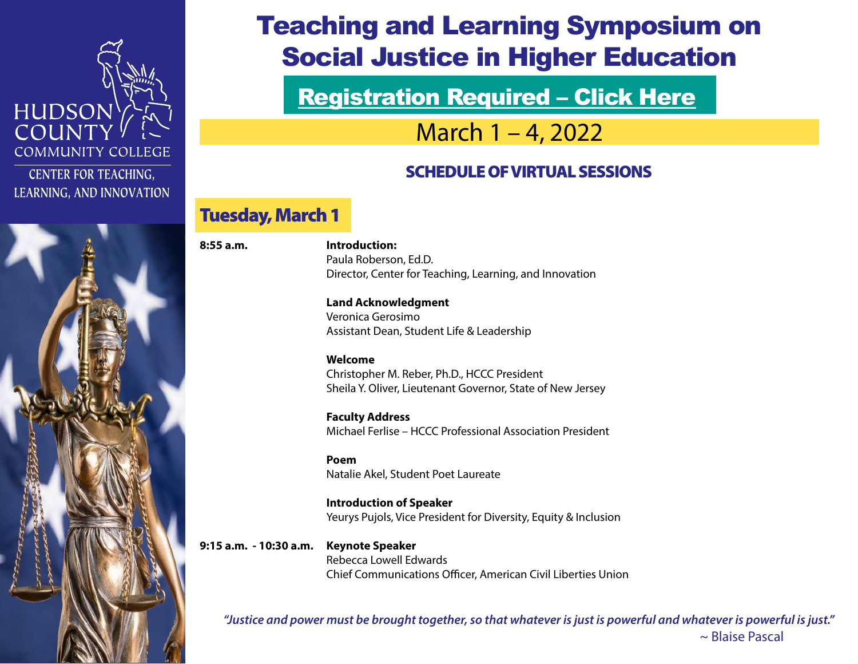

**CENTER FOR TEACHING,** LEARNING, AND INNOVATION



# Teaching and Learning Symposium on Social Justice in Higher Education

[Registration Required – Click Here](https://zoom.us/meeting/register/tJ0ldeirpzIvGtQMce5czZr0hlDKxQQHxm-j?_x_zm_rtaid=jkwy64c7QfaKKCAr2VTtVw.1643395516953.0457dae9d47a310ed145895a2081f284&_x_zm_rhtaid=782)

March 1 – 4, 2022

### SCHEDULE OF VIRTUAL SESSIONS

### Tuesday, March 1

**8:55 a.m. Introduction:**  Paula Roberson, Ed.D. Director, Center for Teaching, Learning, and Innovation

> **Land Acknowledgment**  Veronica Gerosimo Assistant Dean, Student Life & Leadership

 **Welcome** Christopher M. Reber, Ph.D., HCCC President Sheila Y. Oliver, Lieutenant Governor, State of New Jersey

 **Faculty Address** Michael Ferlise – HCCC Professional Association President

**Poem and Poem According to the Poem According to the Poem According to the According to the According to the According to the According to the According to the According to the According to the According to the According** Natalie Akel, Student Poet Laureate

> **Introduction of Speaker**  Yeurys Pujols, Vice President for Diversity, Equity & Inclusion

**9:15 a.m. - 10:30 a.m. Keynote Speaker**  Rebecca Lowell Edwards Chief Communications Officer, American Civil Liberties Union

*"Justice and power must be brought together, so that whatever is just is powerful and whatever is powerful is just."* ~ Blaise Pascal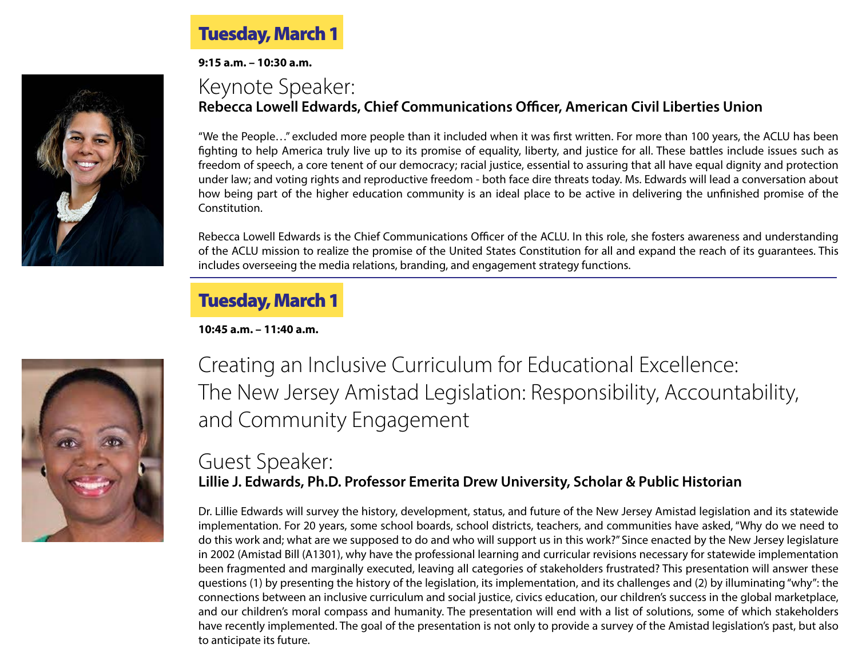

**9:15 a.m. – 10:30 a.m.**

### Keynote Speaker: **Rebecca Lowell Edwards, Chief Communications Officer, American Civil Liberties Union**

"We the People…" excluded more people than it included when it was first written. For more than 100 years, the ACLU has been fighting to help America truly live up to its promise of equality, liberty, and justice for all. These battles include issues such as freedom of speech, a core tenent of our democracy; racial justice, essential to assuring that all have equal dignity and protection under law; and voting rights and reproductive freedom - both face dire threats today. Ms. Edwards will lead a conversation about how being part of the higher education community is an ideal place to be active in delivering the unfinished promise of the Constitution.

Rebecca Lowell Edwards is the Chief Communications Officer of the ACLU. In this role, she fosters awareness and understanding of the ACLU mission to realize the promise of the United States Constitution for all and expand the reach of its guarantees. This includes overseeing the media relations, branding, and engagement strategy functions.

### Tuesday, March 1

**10:45 a.m. – 11:40 a.m.**



Creating an Inclusive Curriculum for Educational Excellence: The New Jersey Amistad Legislation: Responsibility, Accountability, and Community Engagement

### Guest Speaker: **Lillie J. Edwards, Ph.D. Professor Emerita Drew University, Scholar & Public Historian**

Dr. Lillie Edwards will survey the history, development, status, and future of the New Jersey Amistad legislation and its statewide implementation. For 20 years, some school boards, school districts, teachers, and communities have asked, "Why do we need to do this work and; what are we supposed to do and who will support us in this work?" Since enacted by the New Jersey legislature in 2002 (Amistad Bill (A1301), why have the professional learning and curricular revisions necessary for statewide implementation been fragmented and marginally executed, leaving all categories of stakeholders frustrated? This presentation will answer these questions (1) by presenting the history of the legislation, its implementation, and its challenges and (2) by illuminating "why": the connections between an inclusive curriculum and social justice, civics education, our children's success in the global marketplace, and our children's moral compass and humanity. The presentation will end with a list of solutions, some of which stakeholders have recently implemented. The goal of the presentation is not only to provide a survey of the Amistad legislation's past, but also to anticipate its future.

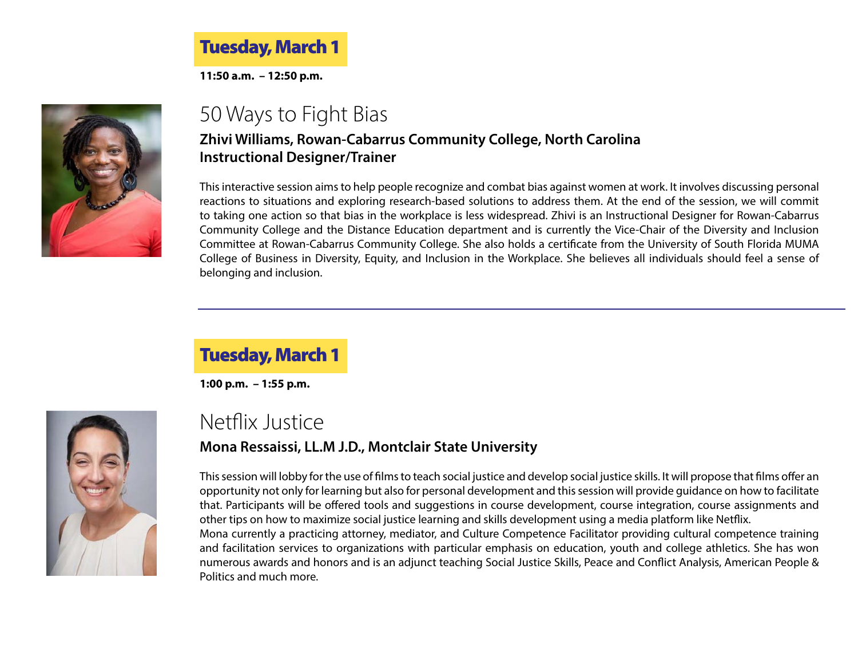### Tuesday, March 1

**11:50 a.m. – 12:50 p.m.**



# 50 Ways to Fight Bias

#### **Zhivi Williams, Rowan-Cabarrus Community College, North Carolina Instructional Designer/Trainer**

This interactive session aims to help people recognize and combat bias against women at work. It involves discussing personal reactions to situations and exploring research-based solutions to address them. At the end of the session, we will commit to taking one action so that bias in the workplace is less widespread. Zhivi is an Instructional Designer for Rowan-Cabarrus Community College and the Distance Education department and is currently the Vice-Chair of the Diversity and Inclusion Committee at Rowan-Cabarrus Community College. She also holds a certificate from the University of South Florida MUMA College of Business in Diversity, Equity, and Inclusion in the Workplace. She believes all individuals should feel a sense of belonging and inclusion.

### Tuesday, March 1

**1:00 p.m. – 1:55 p.m.**

Politics and much more.



### Netflix Justice **Mona Ressaissi, LL.M J.D., Montclair State University**

This session will lobby for the use of films to teach social justice and develop social justice skills. It will propose that films offer an opportunity not only for learning but also for personal development and this session will provide guidance on how to facilitate that. Participants will be offered tools and suggestions in course development, course integration, course assignments and other tips on how to maximize social justice learning and skills development using a media platform like Netflix. Mona currently a practicing attorney, mediator, and Culture Competence Facilitator providing cultural competence training and facilitation services to organizations with particular emphasis on education, youth and college athletics. She has won numerous awards and honors and is an adjunct teaching Social Justice Skills, Peace and Conflict Analysis, American People &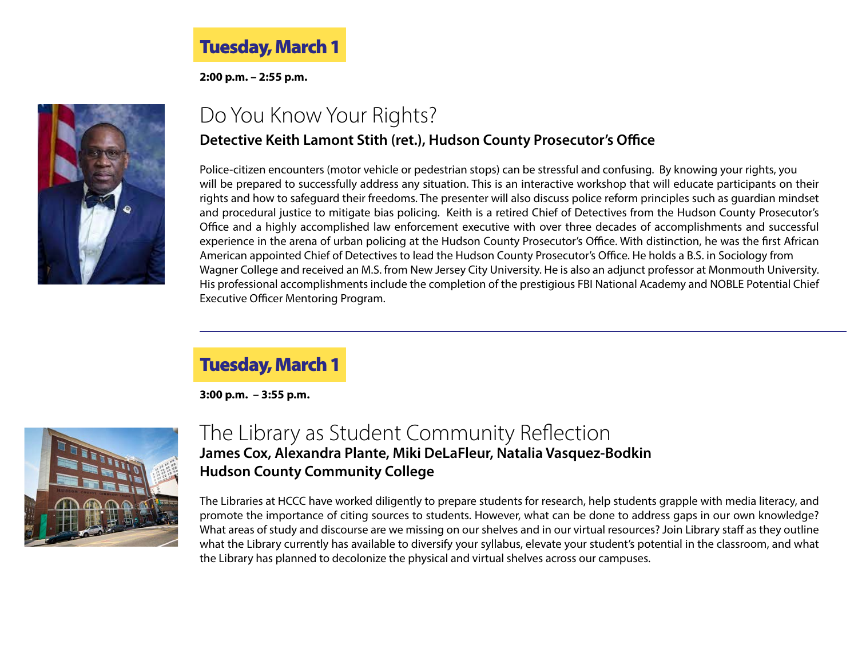### Tuesday, March 1

**2:00 p.m. – 2:55 p.m.**



### Do You Know Your Rights? **Detective Keith Lamont Stith (ret.), Hudson County Prosecutor's Office**

Police-citizen encounters (motor vehicle or pedestrian stops) can be stressful and confusing. By knowing your rights, you will be prepared to successfully address any situation. This is an interactive workshop that will educate participants on their rights and how to safeguard their freedoms. The presenter will also discuss police reform principles such as guardian mindset and procedural justice to mitigate bias policing. Keith is a retired Chief of Detectives from the Hudson County Prosecutor's Office and a highly accomplished law enforcement executive with over three decades of accomplishments and successful experience in the arena of urban policing at the Hudson County Prosecutor's Office. With distinction, he was the first African American appointed Chief of Detectives to lead the Hudson County Prosecutor's Office. He holds a B.S. in Sociology from Wagner College and received an M.S. from New Jersey City University. He is also an adjunct professor at Monmouth University. His professional accomplishments include the completion of the prestigious FBI National Academy and NOBLE Potential Chief Executive Officer Mentoring Program.

### Tuesday, March 1

**3:00 p.m. – 3:55 p.m.**



### The Library as Student Community Reflection **James Cox, Alexandra Plante, Miki DeLaFleur, Natalia Vasquez-Bodkin Hudson County Community College**

The Libraries at HCCC have worked diligently to prepare students for research, help students grapple with media literacy, and promote the importance of citing sources to students. However, what can be done to address gaps in our own knowledge? What areas of study and discourse are we missing on our shelves and in our virtual resources? Join Library staff as they outline what the Library currently has available to diversify your syllabus, elevate your student's potential in the classroom, and what the Library has planned to decolonize the physical and virtual shelves across our campuses.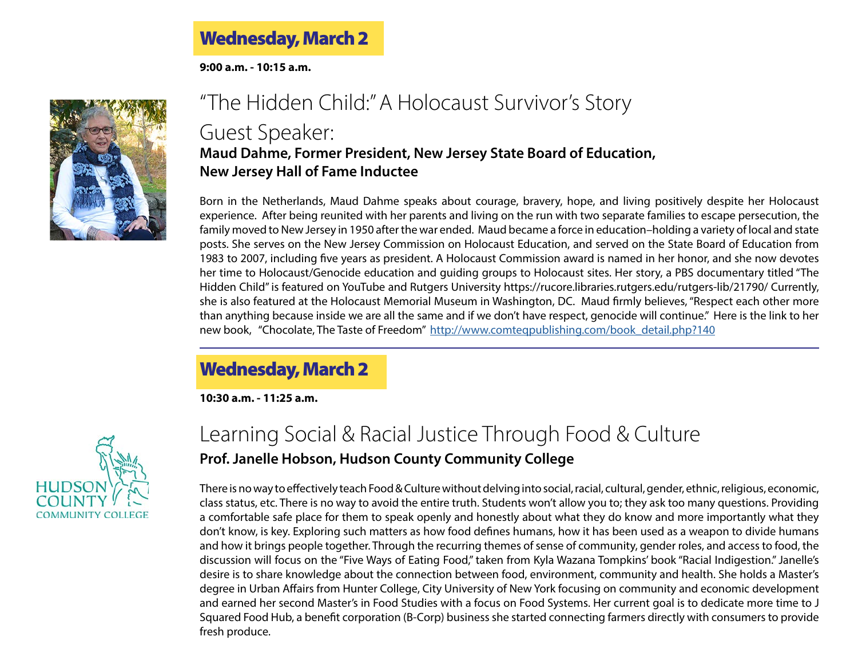### Wednesday, March 2

**9:00 a.m. - 10:15 a.m.**



### "The Hidden Child:" A Holocaust Survivor's Story Guest Speaker: **Maud Dahme, Former President, New Jersey State Board of Education, New Jersey Hall of Fame Inductee**

Born in the Netherlands, Maud Dahme speaks about courage, bravery, hope, and living positively despite her Holocaust experience. After being reunited with her parents and living on the run with two separate families to escape persecution, the family moved to New Jersey in 1950 after the war ended. Maud became a force in education–holding a variety of local and state posts. She serves on the New Jersey Commission on Holocaust Education, and served on the State Board of Education from 1983 to 2007, including five years as president. A Holocaust Commission award is named in her honor, and she now devotes her time to Holocaust/Genocide education and guiding groups to Holocaust sites. Her story, a PBS documentary titled "The Hidden Child" is featured on YouTube and Rutgers University https://rucore.libraries.rutgers.edu/rutgers-lib/21790/ Currently, she is also featured at the Holocaust Memorial Museum in Washington, DC. Maud firmly believes, "Respect each other more than anything because inside we are all the same and if we don't have respect, genocide will continue." Here is the link to her new book, "Chocolate, The Taste of Freedom" [http://www.comteqpublishing.com/book\\_detail.php?140](http://www.comteqpublishing.com/book_detail.php?140)

### Wednesday, March 2

**10:30 a.m. - 11:25 a.m.**



### Learning Social & Racial Justice Through Food & Culture **Prof. Janelle Hobson, Hudson County Community College**

There is no way to effectively teach Food & Culture without delving into social, racial, cultural, gender, ethnic, religious, economic, class status, etc. There is no way to avoid the entire truth. Students won't allow you to; they ask too many questions. Providing a comfortable safe place for them to speak openly and honestly about what they do know and more importantly what they don't know, is key. Exploring such matters as how food defines humans, how it has been used as a weapon to divide humans and how it brings people together. Through the recurring themes of sense of community, gender roles, and access to food, the discussion will focus on the "Five Ways of Eating Food," taken from Kyla Wazana Tompkins' book "Racial Indigestion." Janelle's desire is to share knowledge about the connection between food, environment, community and health. She holds a Master's degree in Urban Affairs from Hunter College, City University of New York focusing on community and economic development and earned her second Master's in Food Studies with a focus on Food Systems. Her current goal is to dedicate more time to J Squared Food Hub, a benefit corporation (B-Corp) business she started connecting farmers directly with consumers to provide fresh produce.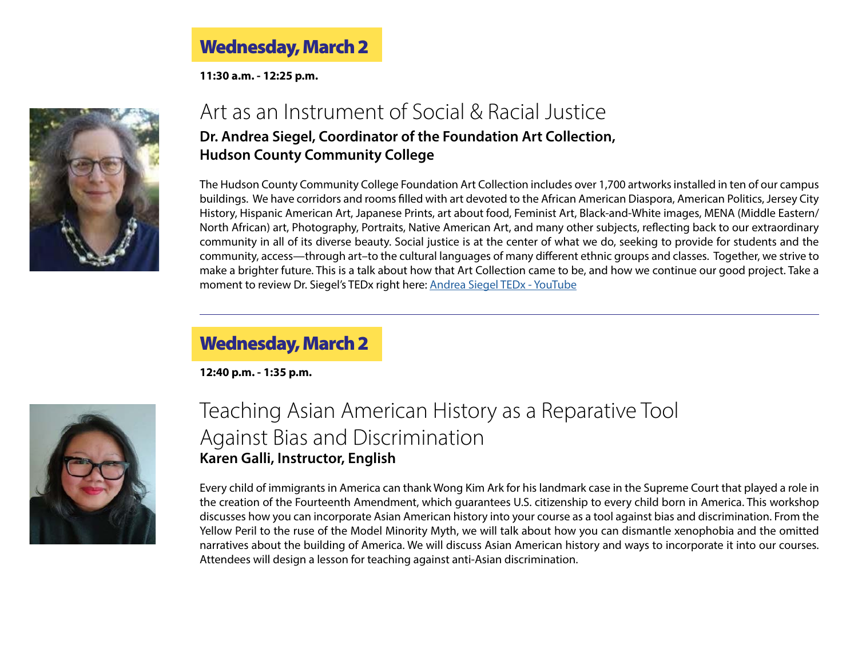### Wednesday, March 2

**11:30 a.m. - 12:25 p.m.**



### Art as an Instrument of Social & Racial Justice **Dr. Andrea Siegel, Coordinator of the Foundation Art Collection, Hudson County Community College**

The Hudson County Community College Foundation Art Collection includes over 1,700 artworks installed in ten of our campus buildings. We have corridors and rooms filled with art devoted to the African American Diaspora, American Politics, Jersey City History, Hispanic American Art, Japanese Prints, art about food, Feminist Art, Black-and-White images, MENA (Middle Eastern/ North African) art, Photography, Portraits, Native American Art, and many other subjects, reflecting back to our extraordinary community in all of its diverse beauty. Social justice is at the center of what we do, seeking to provide for students and the community, access—through art–to the cultural languages of many different ethnic groups and classes. Together, we strive to make a brighter future. This is a talk about how that Art Collection came to be, and how we continue our good project. Take a moment to review Dr. Siegel's TEDx right here: [Andrea Siegel TEDx - YouTube](https://www.youtube.com/watch?v=VO85FriYdgY)

### Wednesday, March 2

**12:40 p.m. - 1:35 p.m.**



### Teaching Asian American History as a Reparative Tool Against Bias and Discrimination **Karen Galli, Instructor, English**

Every child of immigrants in America can thank Wong Kim Ark for his landmark case in the Supreme Court that played a role in the creation of the Fourteenth Amendment, which guarantees U.S. citizenship to every child born in America. This workshop discusses how you can incorporate Asian American history into your course as a tool against bias and discrimination. From the Yellow Peril to the ruse of the Model Minority Myth, we will talk about how you can dismantle xenophobia and the omitted narratives about the building of America. We will discuss Asian American history and ways to incorporate it into our courses. Attendees will design a lesson for teaching against anti-Asian discrimination.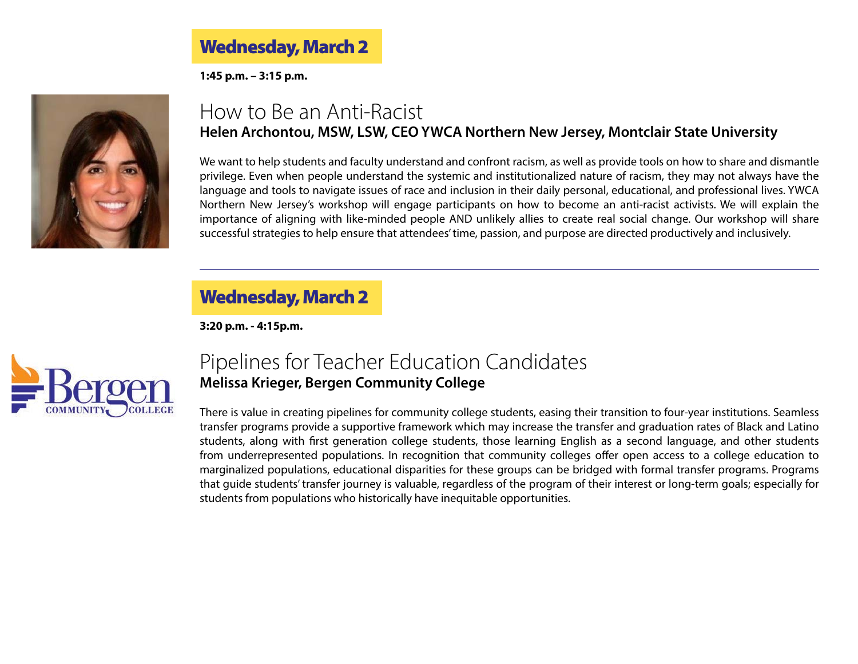Wednesday, March 2

**1:45 p.m. – 3:15 p.m.**



### How to Be an Anti-Racist **Helen Archontou, MSW, LSW, CEO YWCA Northern New Jersey, Montclair State University**

We want to help students and faculty understand and confront racism, as well as provide tools on how to share and dismantle privilege. Even when people understand the systemic and institutionalized nature of racism, they may not always have the language and tools to navigate issues of race and inclusion in their daily personal, educational, and professional lives. YWCA Northern New Jersey's workshop will engage participants on how to become an anti-racist activists. We will explain the importance of aligning with like-minded people AND unlikely allies to create real social change. Our workshop will share successful strategies to help ensure that attendees' time, passion, and purpose are directed productively and inclusively.

### Wednesday, March 2

**3:20 p.m. - 4:15p.m.**



### Pipelines for Teacher Education Candidates **Melissa Krieger, Bergen Community College**

There is value in creating pipelines for community college students, easing their transition to four-year institutions. Seamless transfer programs provide a supportive framework which may increase the transfer and graduation rates of Black and Latino students, along with first generation college students, those learning English as a second language, and other students from underrepresented populations. In recognition that community colleges offer open access to a college education to marginalized populations, educational disparities for these groups can be bridged with formal transfer programs. Programs that guide students' transfer journey is valuable, regardless of the program of their interest or long-term goals; especially for students from populations who historically have inequitable opportunities.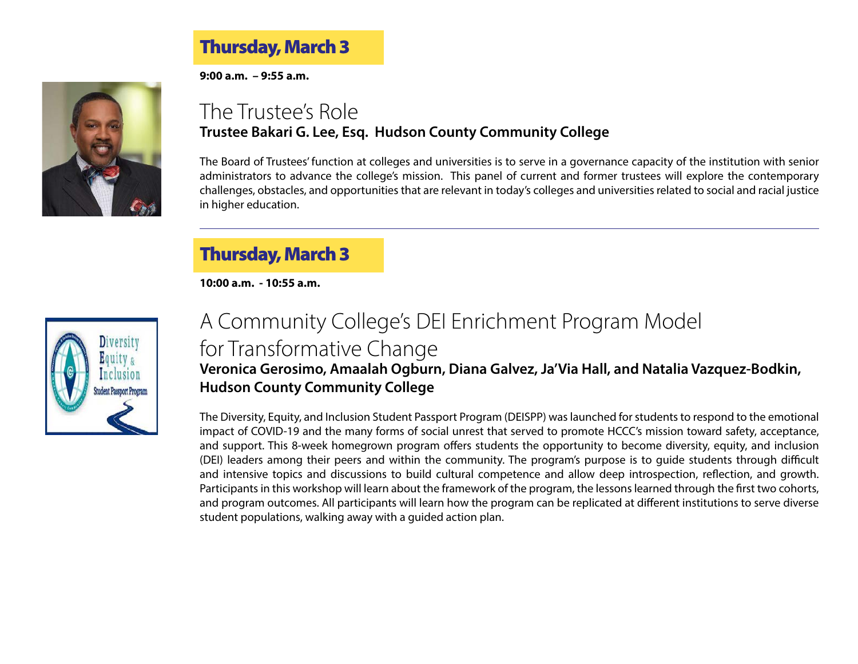### Thursday, March 3

**9:00 a.m. – 9:55 a.m.**



### The Trustee's Role **Trustee Bakari G. Lee, Esq. Hudson County Community College**

The Board of Trustees' function at colleges and universities is to serve in a governance capacity of the institution with senior administrators to advance the college's mission. This panel of current and former trustees will explore the contemporary challenges, obstacles, and opportunities that are relevant in today's colleges and universities related to social and racial justice in higher education.

### Thursday, March 3

**10:00 a.m. - 10:55 a.m.**



## A Community College's DEI Enrichment Program Model for Transformative Change **Veronica Gerosimo, Amaalah Ogburn, Diana Galvez, Ja'Via Hall, and Natalia Vazquez-Bodkin,**

### **Hudson County Community College**

The Diversity, Equity, and Inclusion Student Passport Program (DEISPP) was launched for students to respond to the emotional impact of COVID-19 and the many forms of social unrest that served to promote HCCC's mission toward safety, acceptance, and support. This 8-week homegrown program offers students the opportunity to become diversity, equity, and inclusion (DEI) leaders among their peers and within the community. The program's purpose is to guide students through difficult and intensive topics and discussions to build cultural competence and allow deep introspection, reflection, and growth. Participants in this workshop will learn about the framework of the program, the lessons learned through the first two cohorts, and program outcomes. All participants will learn how the program can be replicated at different institutions to serve diverse student populations, walking away with a guided action plan.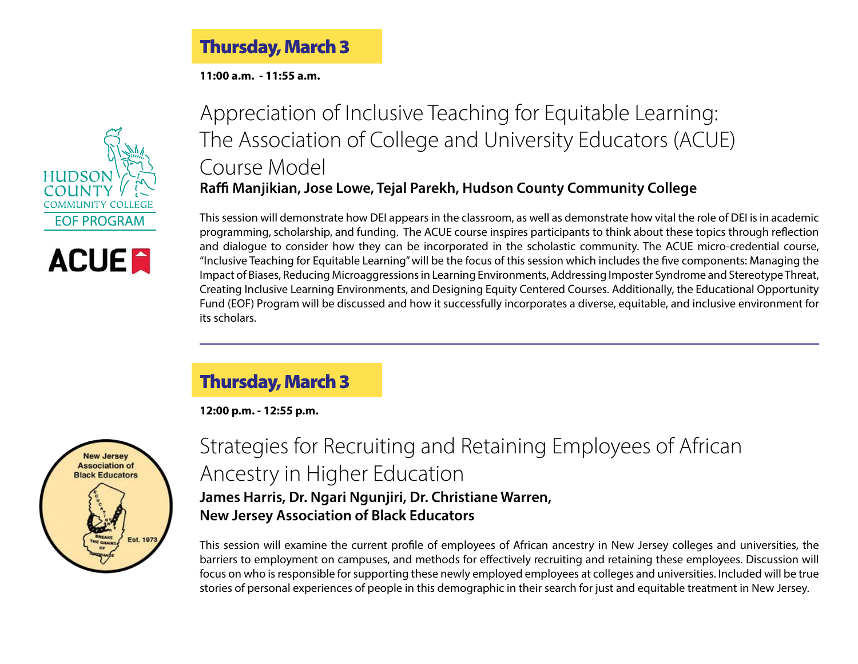Thursday, March 3 j

**11:00 a.m. - 11:55 a.m.**





Appreciation of Inclusive Teaching for Equitable Learning: The Association of College and University Educators (ACUE) Course Model **Raffi Manjikian, Jose Lowe, Tejal Parekh, Hudson County Community College**

This session will demonstrate how DEI appears in the classroom, as well as demonstrate how vital the role of DEI is in academic programming, scholarship, and funding. The ACUE course inspires participants to think about these topics through reflection and dialogue to consider how they can be incorporated in the scholastic community. The ACUE micro-credential course, "Inclusive Teaching for Equitable Learning" will be the focus of this session which includes the five components: Managing the Impact of Biases, Reducing Microaggressions in Learning Environments, Addressing Imposter Syndrome and Stereotype Threat, Creating Inclusive Learning Environments, and Designing Equity Centered Courses. Additionally, the Educational Opportunity Fund (EOF) Program will be discussed and how it successfully incorporates a diverse, equitable, and inclusive environment for its scholars.

#### Thursday, March 3

**12:00 p.m. - 12:55 p.m.**



### Strategies for Recruiting and Retaining Employees of African Ancestry in Higher Education **James Harris, Dr. Ngari Ngunjiri, Dr. Christiane Warren, New Jersey Association of Black Educators**

This session will examine the current profile of employees of African ancestry in New Jersey colleges and universities, the barriers to employment on campuses, and methods for effectively recruiting and retaining these employees. Discussion will focus on who is responsible for supporting these newly employed employees at colleges and universities. Included will be true stories of personal experiences of people in this demographic in their search for just and equitable treatment in New Jersey.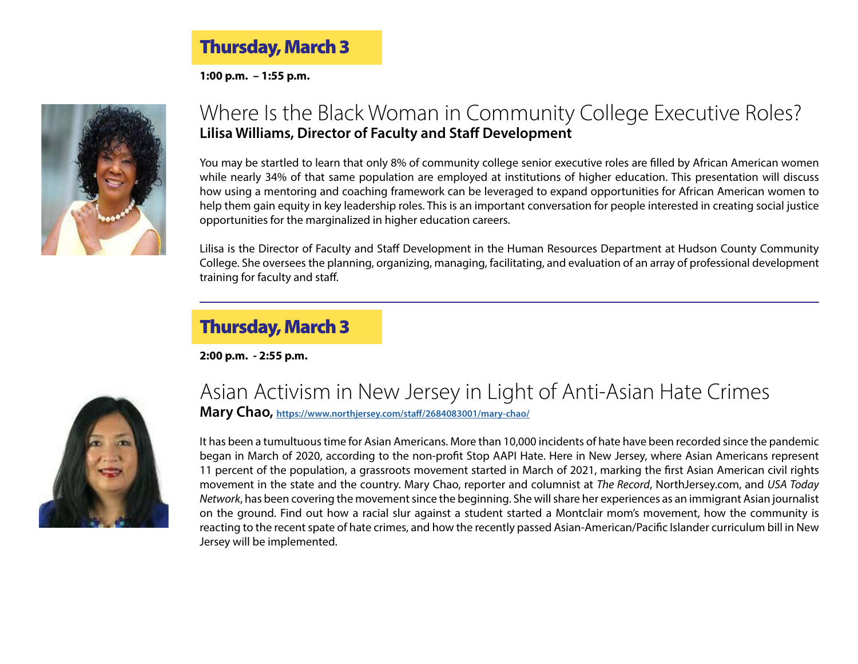#### Thursday, March 3 j

**1:00 p.m. – 1:55 p.m.**



### Where Is the Black Woman in Community College Executive Roles? **Lilisa Williams, Director of Faculty and Staff Development**

You may be startled to learn that only 8% of community college senior executive roles are filled by African American women while nearly 34% of that same population are employed at institutions of higher education. This presentation will discuss how using a mentoring and coaching framework can be leveraged to expand opportunities for African American women to help them gain equity in key leadership roles. This is an important conversation for people interested in creating social justice opportunities for the marginalized in higher education careers.

Lilisa is the Director of Faculty and Staff Development in the Human Resources Department at Hudson County Community College. She oversees the planning, organizing, managing, facilitating, and evaluation of an array of professional development training for faculty and staff.

### Thursday, March 3

**2:00 p.m. - 2:55 p.m.**



# Asian Activism in New Jersey in Light of Anti-Asian Hate Crimes

**Mary Chao,<https://www.northjersey.com/staff/2684083001/mary-chao/>**

It has been a tumultuous time for Asian Americans. More than 10,000 incidents of hate have been recorded since the pandemic began in March of 2020, according to the non-profit Stop AAPI Hate. Here in New Jersey, where Asian Americans represent 11 percent of the population, a grassroots movement started in March of 2021, marking the first Asian American civil rights movement in the state and the country. Mary Chao, reporter and columnist at *The Record*, NorthJersey.com, and *USA Today Network*, has been covering the movement since the beginning. She will share her experiences as an immigrant Asian journalist on the ground. Find out how a racial slur against a student started a Montclair mom's movement, how the community is reacting to the recent spate of hate crimes, and how the recently passed Asian-American/Pacific Islander curriculum bill in New Jersey will be implemented.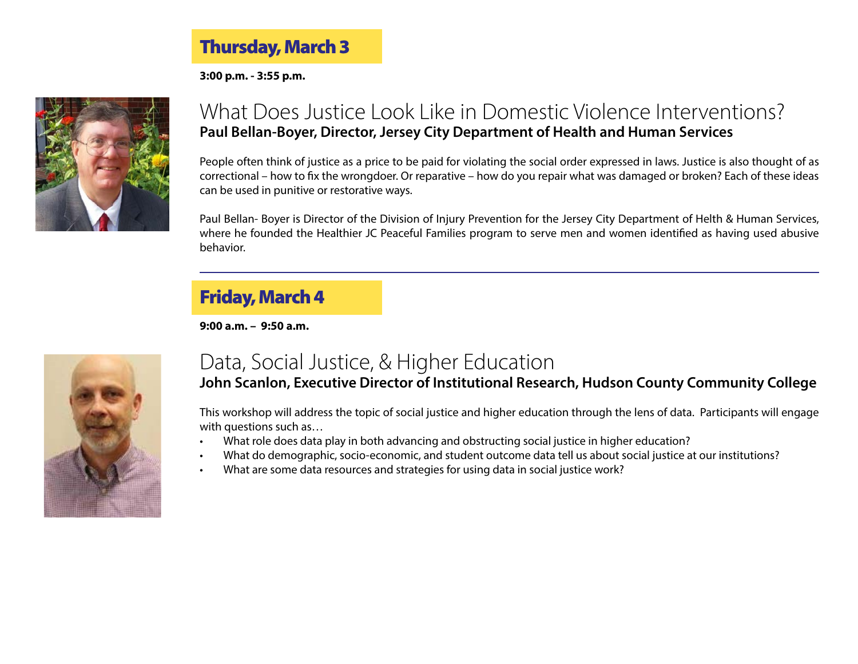### Thursday, March 3

**3:00 p.m. - 3:55 p.m.**



### What Does Justice Look Like in Domestic Violence Interventions? **Paul Bellan-Boyer, Director, Jersey City Department of Health and Human Services**

People often think of justice as a price to be paid for violating the social order expressed in laws. Justice is also thought of as correctional – how to fix the wrongdoer. Or reparative – how do you repair what was damaged or broken? Each of these ideas can be used in punitive or restorative ways.

Paul Bellan- Boyer is Director of the Division of Injury Prevention for the Jersey City Department of Helth & Human Services, where he founded the Healthier JC Peaceful Families program to serve men and women identified as having used abusive behavior.

### Friday, March 4

**9:00 a.m. – 9:50 a.m.**



### Data, Social Justice, & Higher Education

#### **John Scanlon, Executive Director of Institutional Research, Hudson County Community College**

This workshop will address the topic of social justice and higher education through the lens of data. Participants will engage with questions such as…

- What role does data play in both advancing and obstructing social justice in higher education?
- What do demographic, socio-economic, and student outcome data tell us about social justice at our institutions?
- What are some data resources and strategies for using data in social justice work?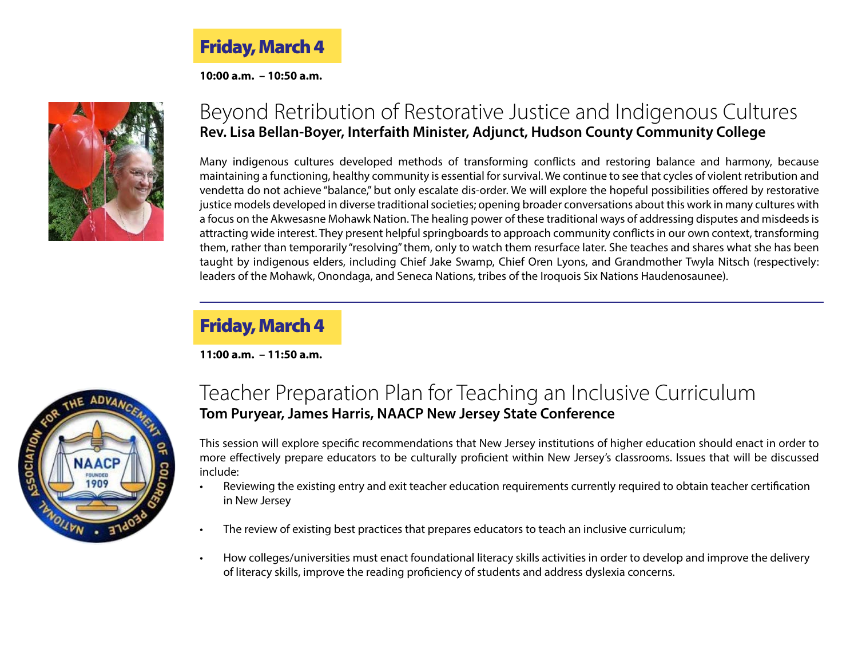Friday, March 4

**10:00 a.m. – 10:50 a.m.**



### Beyond Retribution of Restorative Justice and Indigenous Cultures **Rev. Lisa Bellan-Boyer, Interfaith Minister, Adjunct, Hudson County Community College**

Many indigenous cultures developed methods of transforming conflicts and restoring balance and harmony, because maintaining a functioning, healthy community is essential for survival. We continue to see that cycles of violent retribution and vendetta do not achieve "balance," but only escalate dis-order. We will explore the hopeful possibilities offered by restorative justice models developed in diverse traditional societies; opening broader conversations about this work in many cultures with a focus on the Akwesasne Mohawk Nation. The healing power of these traditional ways of addressing disputes and misdeeds is attracting wide interest. They present helpful springboards to approach community conflicts in our own context, transforming them, rather than temporarily "resolving" them, only to watch them resurface later. She teaches and shares what she has been taught by indigenous elders, including Chief Jake Swamp, Chief Oren Lyons, and Grandmother Twyla Nitsch (respectively: leaders of the Mohawk, Onondaga, and Seneca Nations, tribes of the Iroquois Six Nations Haudenosaunee).

### Friday, March 4

**11:00 a.m. – 11:50 a.m.**



### Teacher Preparation Plan for Teaching an Inclusive Curriculum **Tom Puryear, James Harris, NAACP New Jersey State Conference**

This session will explore specific recommendations that New Jersey institutions of higher education should enact in order to more effectively prepare educators to be culturally proficient within New Jersey's classrooms. Issues that will be discussed include:

- Reviewing the existing entry and exit teacher education requirements currently required to obtain teacher certification in New Jersey
- The review of existing best practices that prepares educators to teach an inclusive curriculum;
- How colleges/universities must enact foundational literacy skills activities in order to develop and improve the delivery of literacy skills, improve the reading proficiency of students and address dyslexia concerns.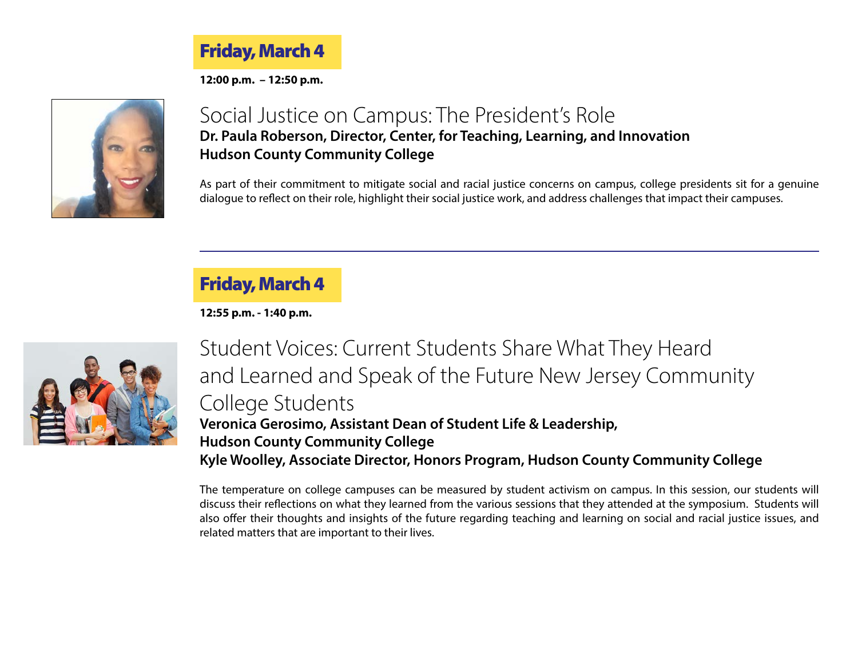Friday, March 4

**12:00 p.m. – 12:50 p.m.**



### Social Justice on Campus: The President's Role **Dr. Paula Roberson, Director, Center, for Teaching, Learning, and Innovation Hudson County Community College**

As part of their commitment to mitigate social and racial justice concerns on campus, college presidents sit for a genuine dialogue to reflect on their role, highlight their social justice work, and address challenges that impact their campuses.

### Friday, March 4

**12:55 p.m. - 1:40 p.m.**



Student Voices: Current Students Share What They Heard and Learned and Speak of the Future New Jersey Community College Students **Veronica Gerosimo, Assistant Dean of Student Life & Leadership, Hudson County Community College Kyle Woolley, Associate Director, Honors Program, Hudson County Community College**

The temperature on college campuses can be measured by student activism on campus. In this session, our students will discuss their reflections on what they learned from the various sessions that they attended at the symposium. Students will also offer their thoughts and insights of the future regarding teaching and learning on social and racial justice issues, and related matters that are important to their lives.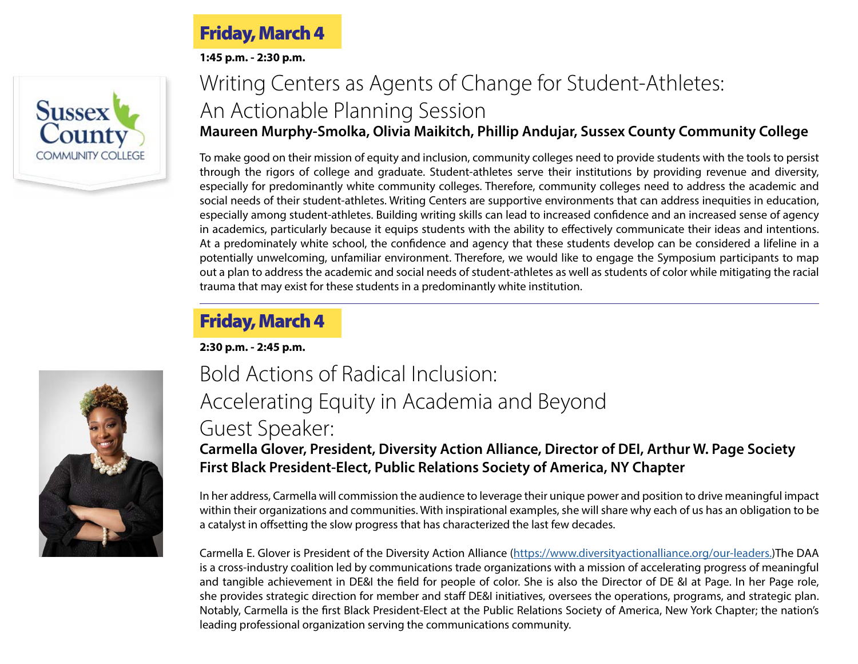#### Friday, March 4 L

**1:45 p.m. - 2:30 p.m.**



### Writing Centers as Agents of Change for Student-Athletes: An Actionable Planning Session **Maureen Murphy-Smolka, Olivia Maikitch, Phillip Andujar, Sussex County Community College**

To make good on their mission of equity and inclusion, community colleges need to provide students with the tools to persist through the rigors of college and graduate. Student-athletes serve their institutions by providing revenue and diversity, especially for predominantly white community colleges. Therefore, community colleges need to address the academic and social needs of their student-athletes. Writing Centers are supportive environments that can address inequities in education, especially among student-athletes. Building writing skills can lead to increased confidence and an increased sense of agency in academics, particularly because it equips students with the ability to effectively communicate their ideas and intentions. At a predominately white school, the confidence and agency that these students develop can be considered a lifeline in a potentially unwelcoming, unfamiliar environment. Therefore, we would like to engage the Symposium participants to map out a plan to address the academic and social needs of student-athletes as well as students of color while mitigating the racial trauma that may exist for these students in a predominantly white institution.

## Friday, March 4

**2:30 p.m. - 2:45 p.m.**



## Bold Actions of Radical Inclusion: Accelerating Equity in Academia and Beyond Guest Speaker:

#### **Carmella Glover, President, Diversity Action Alliance, Director of DEI, Arthur W. Page Society First Black President-Elect, Public Relations Society of America, NY Chapter**

In her address, Carmella will commission the audience to leverage their unique power and position to drive meaningful impact within their organizations and communities. With inspirational examples, she will share why each of us has an obligation to be a catalyst in offsetting the slow progress that has characterized the last few decades.

Carmella E. Glover is President of the Diversity Action Alliance (<https://www.diversityactionalliance.org/our-leaders>.)The DAA is a cross-industry coalition led by communications trade organizations with a mission of accelerating progress of meaningful and tangible achievement in DE&I the field for people of color. She is also the Director of DE &I at Page. In her Page role, she provides strategic direction for member and staff DE&I initiatives, oversees the operations, programs, and strategic plan. Notably, Carmella is the first Black President-Elect at the Public Relations Society of America, New York Chapter; the nation's leading professional organization serving the communications community.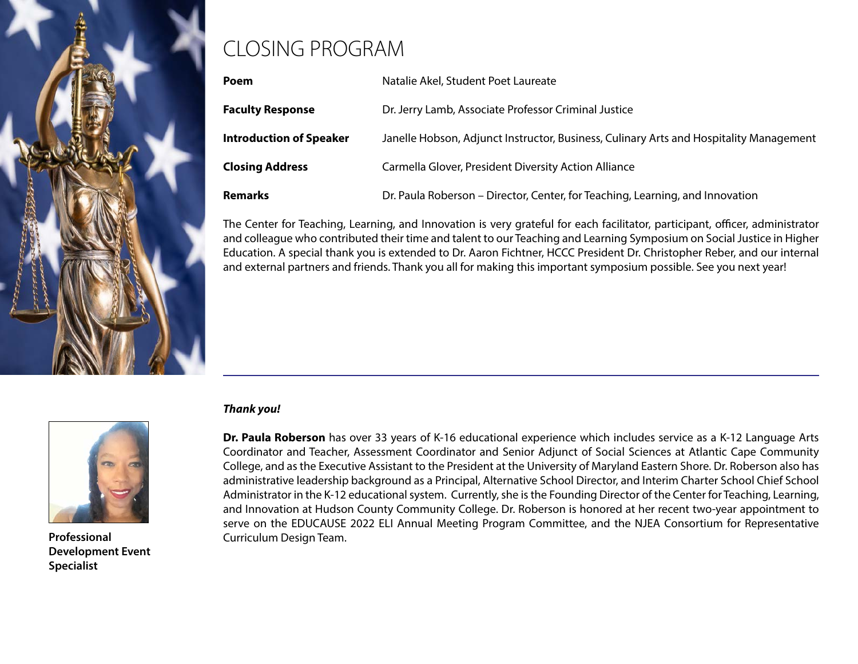

# CLOSING PROGRAM

| Poem                           | Natalie Akel, Student Poet Laureate                                                    |  |
|--------------------------------|----------------------------------------------------------------------------------------|--|
| <b>Faculty Response</b>        | Dr. Jerry Lamb, Associate Professor Criminal Justice                                   |  |
| <b>Introduction of Speaker</b> | Janelle Hobson, Adjunct Instructor, Business, Culinary Arts and Hospitality Management |  |
| <b>Closing Address</b>         | Carmella Glover, President Diversity Action Alliance                                   |  |
| <b>Remarks</b>                 | Dr. Paula Roberson – Director, Center, for Teaching, Learning, and Innovation          |  |

The Center for Teaching, Learning, and Innovation is very grateful for each facilitator, participant, officer, administrator and colleague who contributed their time and talent to our Teaching and Learning Symposium on Social Justice in Higher Education. A special thank you is extended to Dr. Aaron Fichtner, HCCC President Dr. Christopher Reber, and our internal and external partners and friends. Thank you all for making this important symposium possible. See you next year!



**Development Event Specialist**

#### *Thank you!*

**Dr. Paula Roberson** has over 33 years of K-16 educational experience which includes service as a K-12 Language Arts Coordinator and Teacher, Assessment Coordinator and Senior Adjunct of Social Sciences at Atlantic Cape Community College, and as the Executive Assistant to the President at the University of Maryland Eastern Shore. Dr. Roberson also has administrative leadership background as a Principal, Alternative School Director, and Interim Charter School Chief School Administrator in the K-12 educational system. Currently, she is the Founding Director of the Center for Teaching, Learning, and Innovation at Hudson County Community College. Dr. Roberson is honored at her recent two-year appointment to serve on the EDUCAUSE 2022 ELI Annual Meeting Program Committee, and the NJEA Consortium for Representative **Professional Curriculum Design Team.**